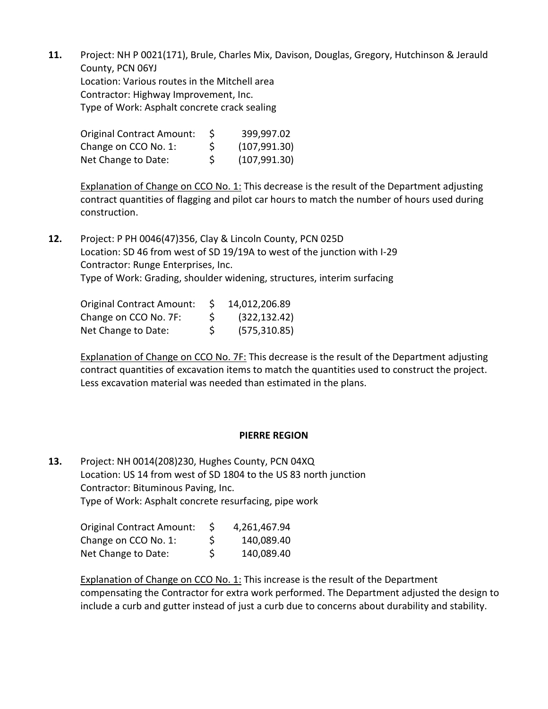**11.** Project: NH P 0021(171), Brule, Charles Mix, Davison, Douglas, Gregory, Hutchinson & Jerauld County, PCN 06YJ Location: Various routes in the Mitchell area Contractor: Highway Improvement, Inc. Type of Work: Asphalt concrete crack sealing

| <b>Original Contract Amount:</b> | S. | 399,997.02    |
|----------------------------------|----|---------------|
| Change on CCO No. 1:             | Ŝ. | (107, 991.30) |
| Net Change to Date:              | S. | (107, 991.30) |

Explanation of Change on CCO No. 1: This decrease is the result of the Department adjusting contract quantities of flagging and pilot car hours to match the number of hours used during construction.

**12.** Project: P PH 0046(47)356, Clay & Lincoln County, PCN 025D Location: SD 46 from west of SD 19/19A to west of the junction with I-29 Contractor: Runge Enterprises, Inc. Type of Work: Grading, shoulder widening, structures, interim surfacing

| Original Contract Amount: | S. | 14,012,206.89 |
|---------------------------|----|---------------|
| Change on CCO No. 7F:     | S. | (322, 132.42) |
| Net Change to Date:       | S. | (575, 310.85) |

Explanation of Change on CCO No. 7F: This decrease is the result of the Department adjusting contract quantities of excavation items to match the quantities used to construct the project. Less excavation material was needed than estimated in the plans.

## **PIERRE REGION**

**13.** Project: NH 0014(208)230, Hughes County, PCN 04XQ Location: US 14 from west of SD 1804 to the US 83 north junction Contractor: Bituminous Paving, Inc. Type of Work: Asphalt concrete resurfacing, pipe work

| <b>Original Contract Amount:</b> | 4,261,467.94     |
|----------------------------------|------------------|
| Change on CCO No. 1:             | \$<br>140,089.40 |
| Net Change to Date:              | \$<br>140,089.40 |

Explanation of Change on CCO No. 1: This increase is the result of the Department compensating the Contractor for extra work performed. The Department adjusted the design to include a curb and gutter instead of just a curb due to concerns about durability and stability.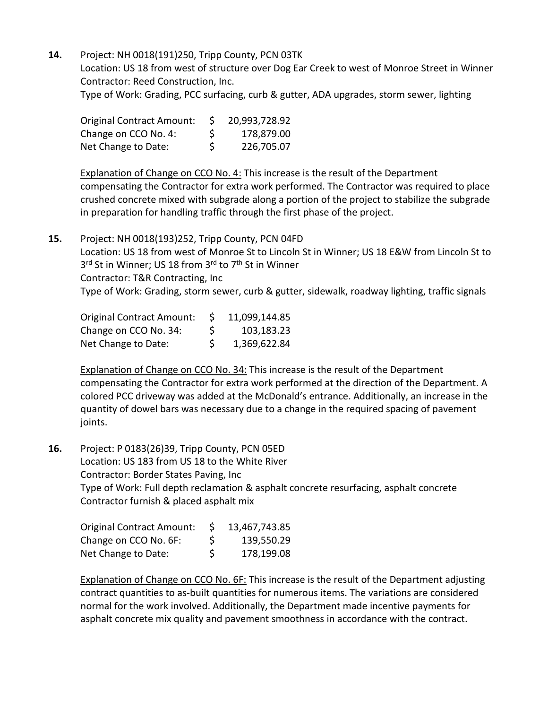**14.** Project: NH 0018(191)250, Tripp County, PCN 03TK Location: US 18 from west of structure over Dog Ear Creek to west of Monroe Street in Winner Contractor: Reed Construction, Inc.

Type of Work: Grading, PCC surfacing, curb & gutter, ADA upgrades, storm sewer, lighting

| <b>Original Contract Amount:</b> | S. | 20,993,728.92 |
|----------------------------------|----|---------------|
| Change on CCO No. 4:             | S. | 178,879.00    |
| Net Change to Date:              | \$ | 226,705.07    |

Explanation of Change on CCO No. 4: This increase is the result of the Department compensating the Contractor for extra work performed. The Contractor was required to place crushed concrete mixed with subgrade along a portion of the project to stabilize the subgrade in preparation for handling traffic through the first phase of the project.

**15.** Project: NH 0018(193)252, Tripp County, PCN 04FD Location: US 18 from west of Monroe St to Lincoln St in Winner; US 18 E&W from Lincoln St to 3<sup>rd</sup> St in Winner; US 18 from 3<sup>rd</sup> to 7<sup>th</sup> St in Winner Contractor: T&R Contracting, Inc Type of Work: Grading, storm sewer, curb & gutter, sidewalk, roadway lighting, traffic signals

| <b>Original Contract Amount:</b> | S. | 11,099,144.85 |
|----------------------------------|----|---------------|
| Change on CCO No. 34:            | \$ | 103,183.23    |
| Net Change to Date:              | S. | 1,369,622.84  |

Explanation of Change on CCO No. 34: This increase is the result of the Department compensating the Contractor for extra work performed at the direction of the Department. A colored PCC driveway was added at the McDonald's entrance. Additionally, an increase in the quantity of dowel bars was necessary due to a change in the required spacing of pavement joints.

**16.** Project: P 0183(26)39, Tripp County, PCN 05ED Location: US 183 from US 18 to the White River Contractor: Border States Paving, Inc Type of Work: Full depth reclamation & asphalt concrete resurfacing, asphalt concrete Contractor furnish & placed asphalt mix

| <b>Original Contract Amount:</b> | S. | 13,467,743.85 |
|----------------------------------|----|---------------|
| Change on CCO No. 6F:            | \$ | 139,550.29    |
| Net Change to Date:              | \$ | 178,199.08    |

Explanation of Change on CCO No. 6F: This increase is the result of the Department adjusting contract quantities to as-built quantities for numerous items. The variations are considered normal for the work involved. Additionally, the Department made incentive payments for asphalt concrete mix quality and pavement smoothness in accordance with the contract.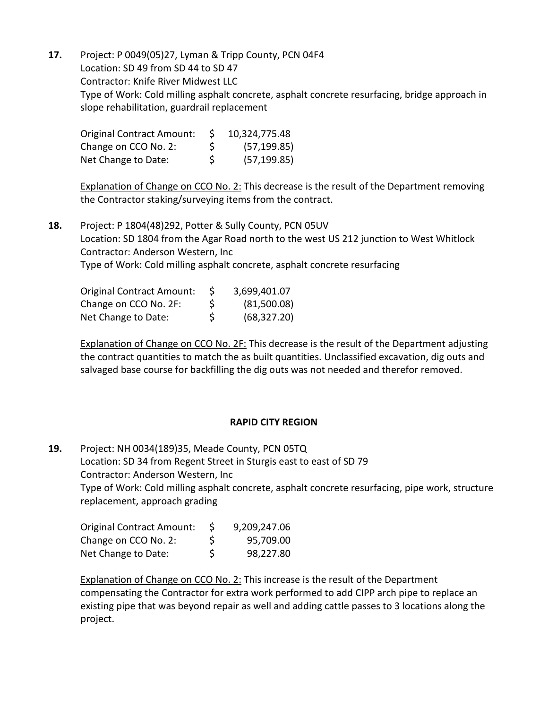**17.** Project: P 0049(05)27, Lyman & Tripp County, PCN 04F4 Location: SD 49 from SD 44 to SD 47 Contractor: Knife River Midwest LLC Type of Work: Cold milling asphalt concrete, asphalt concrete resurfacing, bridge approach in slope rehabilitation, guardrail replacement

| <b>Original Contract Amount:</b> | S. | 10,324,775.48 |
|----------------------------------|----|---------------|
| Change on CCO No. 2:             | S  | (57, 199.85)  |
| Net Change to Date:              | Ŝ. | (57, 199.85)  |

Explanation of Change on CCO No. 2: This decrease is the result of the Department removing the Contractor staking/surveying items from the contract.

**18.** Project: P 1804(48)292, Potter & Sully County, PCN 05UV Location: SD 1804 from the Agar Road north to the west US 212 junction to West Whitlock Contractor: Anderson Western, Inc Type of Work: Cold milling asphalt concrete, asphalt concrete resurfacing

| <b>Original Contract Amount:</b> | S  | 3,699,401.07 |
|----------------------------------|----|--------------|
| Change on CCO No. 2F:            | S  | (81,500.08)  |
| Net Change to Date:              | S. | (68, 327.20) |

Explanation of Change on CCO No. 2F: This decrease is the result of the Department adjusting the contract quantities to match the as built quantities. Unclassified excavation, dig outs and salvaged base course for backfilling the dig outs was not needed and therefor removed.

## **RAPID CITY REGION**

**19.** Project: NH 0034(189)35, Meade County, PCN 05TQ Location: SD 34 from Regent Street in Sturgis east to east of SD 79 Contractor: Anderson Western, Inc Type of Work: Cold milling asphalt concrete, asphalt concrete resurfacing, pipe work, structure replacement, approach grading

| Original Contract Amount: |    | 9,209,247.06 |
|---------------------------|----|--------------|
| Change on CCO No. 2:      | S  | 95,709.00    |
| Net Change to Date:       | \$ | 98,227.80    |

Explanation of Change on CCO No. 2: This increase is the result of the Department compensating the Contractor for extra work performed to add CIPP arch pipe to replace an existing pipe that was beyond repair as well and adding cattle passes to 3 locations along the project.